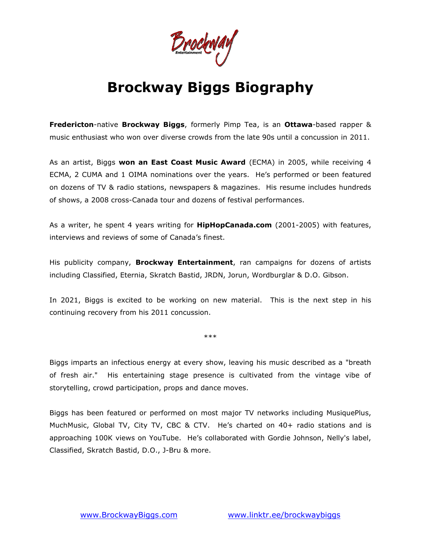DrockWay

# **Brockway Biggs Biography**

**Fredericton**-native **Brockway Biggs**, formerly Pimp Tea, is an **Ottawa**-based rapper & music enthusiast who won over diverse crowds from the late 90s until a concussion in 2011.

As an artist, Biggs **won an East Coast Music Award** (ECMA) in 2005, while receiving 4 ECMA, 2 CUMA and 1 OIMA nominations over the years. He's performed or been featured on dozens of TV & radio stations, newspapers & magazines. His resume includes hundreds of shows, a 2008 cross-Canada tour and dozens of festival performances.

As a writer, he spent 4 years writing for **HipHopCanada.com** (2001-2005) with features, interviews and reviews of some of Canada's finest.

His publicity company, **Brockway Entertainment**, ran campaigns for dozens of artists including Classified, Eternia, Skratch Bastid, JRDN, Jorun, Wordburglar & D.O. Gibson.

In 2021, Biggs is excited to be working on new material. This is the next step in his continuing recovery from his 2011 concussion.

\*\*\*

Biggs imparts an infectious energy at every show, leaving his music described as a "breath of fresh air." His entertaining stage presence is cultivated from the vintage vibe of storytelling, crowd participation, props and dance moves.

Biggs has been featured or performed on most major TV networks including MusiquePlus, MuchMusic, Global TV, City TV, CBC & CTV. He's charted on 40+ radio stations and is approaching 100K views on YouTube. He's collaborated with Gordie Johnson, Nelly's label, Classified, Skratch Bastid, D.O., J-Bru & more.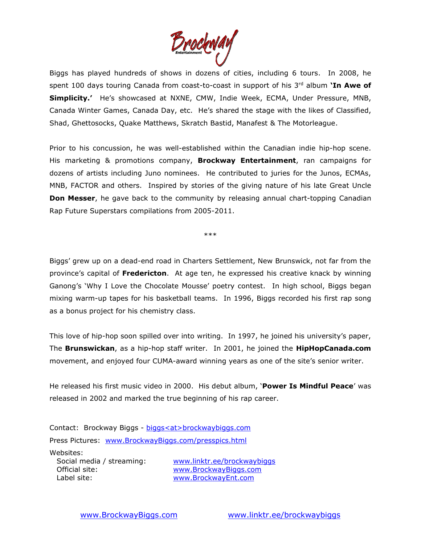

Biggs has played hundreds of shows in dozens of cities, including 6 tours. In 2008, he spent 100 days touring Canada from coast-to-coast in support of his 3<sup>rd</sup> album **'In Awe of Simplicity.'** He's showcased at NXNE, CMW, Indie Week, ECMA, Under Pressure, MNB, Canada Winter Games, Canada Day, etc. He's shared the stage with the likes of Classified, Shad, Ghettosocks, Quake Matthews, Skratch Bastid, Manafest & The Motorleague.

Prior to his concussion, he was well-established within the Canadian indie hip-hop scene. His marketing & promotions company, **Brockway Entertainment**, ran campaigns for dozens of artists including Juno nominees. He contributed to juries for the Junos, ECMAs, MNB, FACTOR and others. Inspired by stories of the giving nature of his late Great Uncle **Don Messer**, he gave back to the community by releasing annual chart-topping Canadian Rap Future Superstars compilations from 2005-2011.

\*\*\*

Biggs' grew up on a dead-end road in Charters Settlement, New Brunswick, not far from the province's capital of **Fredericton**. At age ten, he expressed his creative knack by winning Ganong's 'Why I Love the Chocolate Mousse' poetry contest. In high school, Biggs began mixing warm-up tapes for his basketball teams. In 1996, Biggs recorded his first rap song as a bonus project for his chemistry class.

This love of hip-hop soon spilled over into writing. In 1997, he joined his university's paper, The **Brunswickan**, as a hip-hop staff writer. In 2001, he joined the **HipHopCanada.com** movement, and enjoyed four CUMA-award winning years as one of the site's senior writer.

He released his first music video in 2000. His debut album, '**Power Is Mindful Peace**' was released in 2002 and marked the true beginning of his rap career.

Contact: Brockway Biggs - [biggs<at>brockwaybiggs.com](mailto:biggs@brockwaybiggs.com) Press Pictures: [www.BrockwayBiggs.com/presspics.html](http://www.brockwaybiggs.com/presspics.html)

Websites:

Label site: [www.BrockwayEnt.com](http://www.brockwayent.com/) 

Social media / streaming: [www.linktr.ee/brockwaybiggs](http://www.linktr.ee/brockwaybiggs) Official site: [www.BrockwayBiggs.com](http://www.brockwaybiggs.com/)